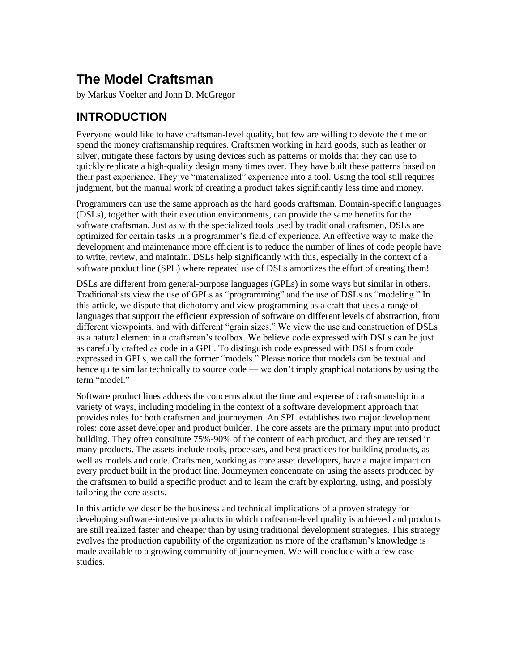# **The Model Craftsman**

by Markus Voelter and John D. McGregor

## **INTRODUCTION**

Everyone would like to have craftsman-level quality, but few are willing to devote the time or spend the money craftsmanship requires. Craftsmen working in hard goods, such as leather or silver, mitigate these factors by using devices such as patterns or molds that they can use to quickly replicate a high-quality design many times over. They have built these patterns based on their past experience. They've "materialized" experience into a tool. Using the tool still requires judgment, but the manual work of creating a product takes significantly less time and money.

Programmers can use the same approach as the hard goods craftsman. Domain-specific languages (DSLs), together with their execution environments, can provide the same benefits for the software craftsman. Just as with the specialized tools used by traditional craftsmen, DSLs are optimized for certain tasks in a programmer's field of experience. An effective way to make the development and maintenance more efficient is to reduce the number of lines of code people have to write, review, and maintain. DSLs help significantly with this, especially in the context of a software product line (SPL) where repeated use of DSLs amortizes the effort of creating them!

DSLs are different from general-purpose languages (GPLs) in some ways but similar in others. Traditionalists view the use of GPLs as "programming" and the use of DSLs as "modeling." In this article, we dispute that dichotomy and view programming as a craft that uses a range of languages that support the efficient expression of software on different levels of abstraction, from different viewpoints, and with different "grain sizes." We view the use and construction of DSLs as a natural element in a craftsman's toolbox. We believe code expressed with DSLs can be just as carefully crafted as code in a GPL. To distinguish code expressed with DSLs from code expressed in GPLs, we call the former "models." Please notice that models can be textual and hence quite similar technically to source code — we don't imply graphical notations by using the term "model."

Software product lines address the concerns about the time and expense of craftsmanship in a variety of ways, including modeling in the context of a software development approach that provides roles for both craftsmen and journeymen. An SPL establishes two major development roles: core asset developer and product builder. The core assets are the primary input into product building. They often constitute 75%-90% of the content of each product, and they are reused in many products. The assets include tools, processes, and best practices for building products, as well as models and code. Craftsmen, working as core asset developers, have a major impact on every product built in the product line. Journeymen concentrate on using the assets produced by the craftsmen to build a specific product and to learn the craft by exploring, using, and possibly tailoring the core assets.

In this article we describe the business and technical implications of a proven strategy for developing software-intensive products in which craftsman-level quality is achieved and products are still realized faster and cheaper than by using traditional development strategies. This strategy evolves the production capability of the organization as more of the craftsman's knowledge is made available to a growing community of journeymen. We will conclude with a few case studies.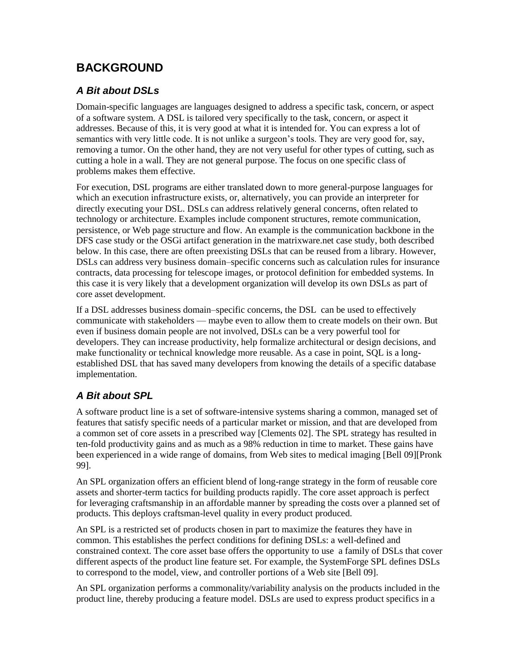### **BACKGROUND**

#### *A Bit about DSLs*

Domain-specific languages are languages designed to address a specific task, concern, or aspect of a software system. A DSL is tailored very specifically to the task, concern, or aspect it addresses. Because of this, it is very good at what it is intended for. You can express a lot of semantics with very little code. It is not unlike a surgeon's tools. They are very good for, say, removing a tumor. On the other hand, they are not very useful for other types of cutting, such as cutting a hole in a wall. They are not general purpose. The focus on one specific class of problems makes them effective.

For execution, DSL programs are either translated down to more general-purpose languages for which an execution infrastructure exists, or, alternatively, you can provide an interpreter for directly executing your DSL. DSLs can address relatively general concerns, often related to technology or architecture. Examples include component structures, remote communication, persistence, or Web page structure and flow. An example is the communication backbone in the DFS case study or the OSGi artifact generation in the matrixware.net case study, both described below. In this case, there are often preexisting DSLs that can be reused from a library. However, DSLs can address very business domain–specific concerns such as calculation rules for insurance contracts, data processing for telescope images, or protocol definition for embedded systems. In this case it is very likely that a development organization will develop its own DSLs as part of core asset development.

If a DSL addresses business domain–specific concerns, the DSL can be used to effectively communicate with stakeholders — maybe even to allow them to create models on their own. But even if business domain people are not involved, DSLs can be a very powerful tool for developers. They can increase productivity, help formalize architectural or design decisions, and make functionality or technical knowledge more reusable. As a case in point, SQL is a longestablished DSL that has saved many developers from knowing the details of a specific database implementation.

### *A Bit about SPL*

A software product line is a set of software-intensive systems sharing a common, managed set of features that satisfy specific needs of a particular market or mission, and that are developed from a common set of core assets in a prescribed way [Clements 02]. The SPL strategy has resulted in ten-fold productivity gains and as much as a 98% reduction in time to market. These gains have been experienced in a wide range of domains, from Web sites to medical imaging [Bell 09][Pronk 99].

An SPL organization offers an efficient blend of long-range strategy in the form of reusable core assets and shorter-term tactics for building products rapidly. The core asset approach is perfect for leveraging craftsmanship in an affordable manner by spreading the costs over a planned set of products. This deploys craftsman-level quality in every product produced.

An SPL is a restricted set of products chosen in part to maximize the features they have in common. This establishes the perfect conditions for defining DSLs: a well-defined and constrained context. The core asset base offers the opportunity to use a family of DSLs that cover different aspects of the product line feature set. For example, the SystemForge SPL defines DSLs to correspond to the model, view, and controller portions of a Web site [Bell 09].

An SPL organization performs a commonality/variability analysis on the products included in the product line, thereby producing a feature model. DSLs are used to express product specifics in a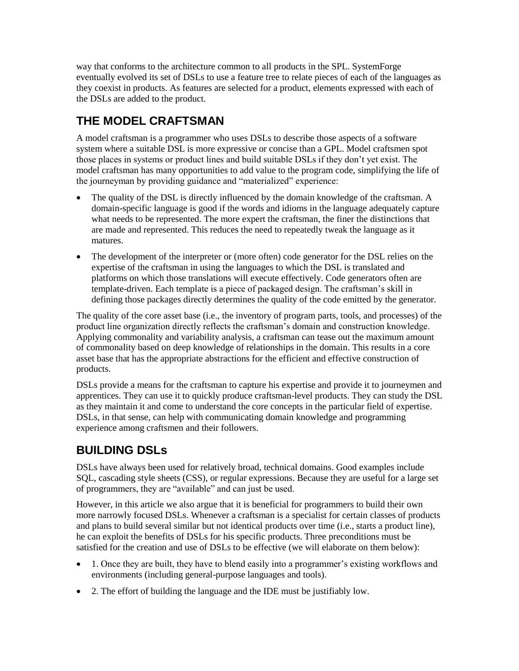way that conforms to the architecture common to all products in the SPL. SystemForge eventually evolved its set of DSLs to use a feature tree to relate pieces of each of the languages as they coexist in products. As features are selected for a product, elements expressed with each of the DSLs are added to the product.

# **THE MODEL CRAFTSMAN**

A model craftsman is a programmer who uses DSLs to describe those aspects of a software system where a suitable DSL is more expressive or concise than a GPL. Model craftsmen spot those places in systems or product lines and build suitable DSLs if they don't yet exist. The model craftsman has many opportunities to add value to the program code, simplifying the life of the journeyman by providing guidance and "materialized" experience:

- The quality of the DSL is directly influenced by the domain knowledge of the craftsman. A domain-specific language is good if the words and idioms in the language adequately capture what needs to be represented. The more expert the craftsman, the finer the distinctions that are made and represented. This reduces the need to repeatedly tweak the language as it matures.
- The development of the interpreter or (more often) code generator for the DSL relies on the expertise of the craftsman in using the languages to which the DSL is translated and platforms on which those translations will execute effectively. Code generators often are template-driven. Each template is a piece of packaged design. The craftsman's skill in defining those packages directly determines the quality of the code emitted by the generator.

The quality of the core asset base (i.e., the inventory of program parts, tools, and processes) of the product line organization directly reflects the craftsman's domain and construction knowledge. Applying commonality and variability analysis, a craftsman can tease out the maximum amount of commonality based on deep knowledge of relationships in the domain. This results in a core asset base that has the appropriate abstractions for the efficient and effective construction of products.

DSLs provide a means for the craftsman to capture his expertise and provide it to journeymen and apprentices. They can use it to quickly produce craftsman-level products. They can study the DSL as they maintain it and come to understand the core concepts in the particular field of expertise. DSLs, in that sense, can help with communicating domain knowledge and programming experience among craftsmen and their followers.

## **BUILDING DSLs**

DSLs have always been used for relatively broad, technical domains. Good examples include SQL, cascading style sheets (CSS), or regular expressions. Because they are useful for a large set of programmers, they are "available" and can just be used.

However, in this article we also argue that it is beneficial for programmers to build their own more narrowly focused DSLs. Whenever a craftsman is a specialist for certain classes of products and plans to build several similar but not identical products over time (i.e., starts a product line), he can exploit the benefits of DSLs for his specific products. Three preconditions must be satisfied for the creation and use of DSLs to be effective (we will elaborate on them below):

- 1. Once they are built, they have to blend easily into a programmer's existing workflows and environments (including general-purpose languages and tools).
- 2. The effort of building the language and the IDE must be justifiably low.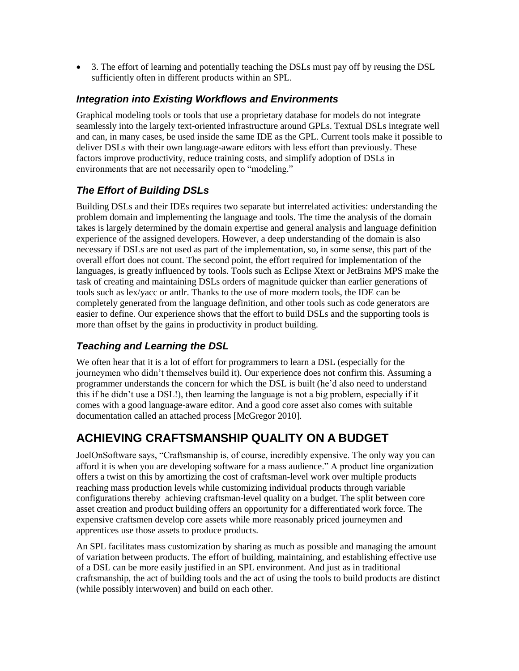3. The effort of learning and potentially teaching the DSLs must pay off by reusing the DSL sufficiently often in different products within an SPL.

#### *Integration into Existing Workflows and Environments*

Graphical modeling tools or tools that use a proprietary database for models do not integrate seamlessly into the largely text-oriented infrastructure around GPLs. Textual DSLs integrate well and can, in many cases, be used inside the same IDE as the GPL. Current tools make it possible to deliver DSLs with their own language-aware editors with less effort than previously. These factors improve productivity, reduce training costs, and simplify adoption of DSLs in environments that are not necessarily open to "modeling."

#### *The Effort of Building DSLs*

Building DSLs and their IDEs requires two separate but interrelated activities: understanding the problem domain and implementing the language and tools. The time the analysis of the domain takes is largely determined by the domain expertise and general analysis and language definition experience of the assigned developers. However, a deep understanding of the domain is also necessary if DSLs are not used as part of the implementation, so, in some sense, this part of the overall effort does not count. The second point, the effort required for implementation of the languages, is greatly influenced by tools. Tools such as Eclipse Xtext or JetBrains MPS make the task of creating and maintaining DSLs orders of magnitude quicker than earlier generations of tools such as lex/yacc or antlr. Thanks to the use of more modern tools, the IDE can be completely generated from the language definition, and other tools such as code generators are easier to define. Our experience shows that the effort to build DSLs and the supporting tools is more than offset by the gains in productivity in product building.

#### *Teaching and Learning the DSL*

We often hear that it is a lot of effort for programmers to learn a DSL (especially for the journeymen who didn't themselves build it). Our experience does not confirm this. Assuming a programmer understands the concern for which the DSL is built (he'd also need to understand this if he didn't use a DSL!), then learning the language is not a big problem, especially if it comes with a good language-aware editor. And a good core asset also comes with suitable documentation called an attached process [McGregor 2010].

### **ACHIEVING CRAFTSMANSHIP QUALITY ON A BUDGET**

JoelOnSoftware says, "Craftsmanship is, of course, incredibly expensive. The only way you can afford it is when you are developing software for a mass audience." A product line organization offers a twist on this by amortizing the cost of craftsman-level work over multiple products reaching mass production levels while customizing individual products through variable configurations thereby achieving craftsman-level quality on a budget. The split between core asset creation and product building offers an opportunity for a differentiated work force. The expensive craftsmen develop core assets while more reasonably priced journeymen and apprentices use those assets to produce products.

An SPL facilitates mass customization by sharing as much as possible and managing the amount of variation between products. The effort of building, maintaining, and establishing effective use of a DSL can be more easily justified in an SPL environment. And just as in traditional craftsmanship, the act of building tools and the act of using the tools to build products are distinct (while possibly interwoven) and build on each other.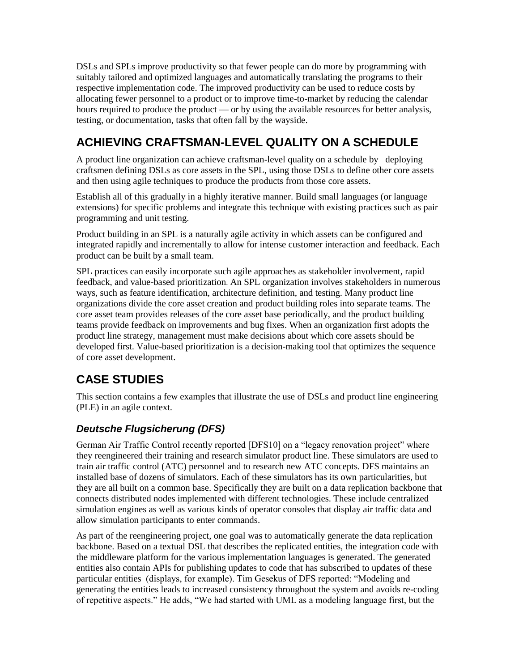DSLs and SPLs improve productivity so that fewer people can do more by programming with suitably tailored and optimized languages and automatically translating the programs to their respective implementation code. The improved productivity can be used to reduce costs by allocating fewer personnel to a product or to improve time-to-market by reducing the calendar hours required to produce the product — or by using the available resources for better analysis, testing, or documentation, tasks that often fall by the wayside.

# **ACHIEVING CRAFTSMAN-LEVEL QUALITY ON A SCHEDULE**

A product line organization can achieve craftsman-level quality on a schedule by deploying craftsmen defining DSLs as core assets in the SPL, using those DSLs to define other core assets and then using agile techniques to produce the products from those core assets.

Establish all of this gradually in a highly iterative manner. Build small languages (or language extensions) for specific problems and integrate this technique with existing practices such as pair programming and unit testing.

Product building in an SPL is a naturally agile activity in which assets can be configured and integrated rapidly and incrementally to allow for intense customer interaction and feedback. Each product can be built by a small team.

SPL practices can easily incorporate such agile approaches as stakeholder involvement, rapid feedback, and value-based prioritization. An SPL organization involves stakeholders in numerous ways, such as feature identification, architecture definition, and testing. Many product line organizations divide the core asset creation and product building roles into separate teams. The core asset team provides releases of the core asset base periodically, and the product building teams provide feedback on improvements and bug fixes. When an organization first adopts the product line strategy, management must make decisions about which core assets should be developed first. Value-based prioritization is a decision-making tool that optimizes the sequence of core asset development.

## **CASE STUDIES**

This section contains a few examples that illustrate the use of DSLs and product line engineering (PLE) in an agile context.

#### *Deutsche Flugsicherung (DFS)*

German Air Traffic Control recently reported [DFS10] on a "legacy renovation project" where they reengineered their training and research simulator product line. These simulators are used to train air traffic control (ATC) personnel and to research new ATC concepts. DFS maintains an installed base of dozens of simulators. Each of these simulators has its own particularities, but they are all built on a common base. Specifically they are built on a data replication backbone that connects distributed nodes implemented with different technologies. These include centralized simulation engines as well as various kinds of operator consoles that display air traffic data and allow simulation participants to enter commands.

As part of the reengineering project, one goal was to automatically generate the data replication backbone. Based on a textual DSL that describes the replicated entities, the integration code with the middleware platform for the various implementation languages is generated. The generated entities also contain APIs for publishing updates to code that has subscribed to updates of these particular entities (displays, for example). Tim Gesekus of DFS reported: "Modeling and generating the entities leads to increased consistency throughout the system and avoids re-coding of repetitive aspects." He adds, "We had started with UML as a modeling language first, but the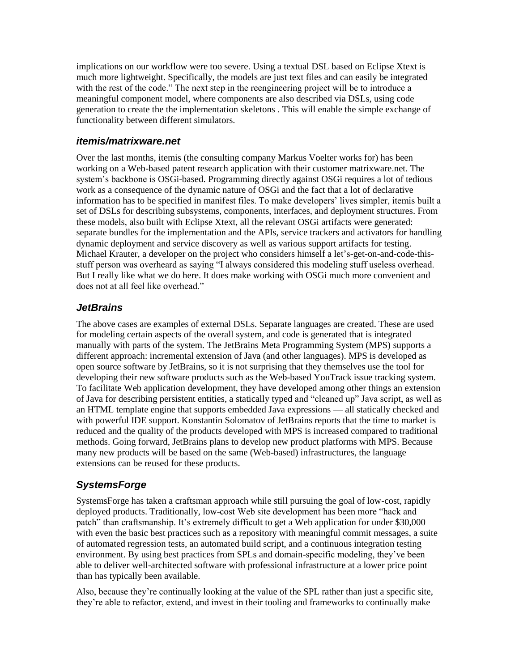implications on our workflow were too severe. Using a textual DSL based on Eclipse Xtext is much more lightweight. Specifically, the models are just text files and can easily be integrated with the rest of the code." The next step in the reengineering project will be to introduce a meaningful component model, where components are also described via DSLs, using code generation to create the the implementation skeletons . This will enable the simple exchange of functionality between different simulators.

#### *itemis/matrixware.net*

Over the last months, itemis (the consulting company Markus Voelter works for) has been working on a Web-based patent research application with their customer matrixware.net. The system's backbone is OSGi-based. Programming directly against OSGi requires a lot of tedious work as a consequence of the dynamic nature of OSGi and the fact that a lot of declarative information has to be specified in manifest files. To make developers' lives simpler, itemis built a set of DSLs for describing subsystems, components, interfaces, and deployment structures. From these models, also built with Eclipse Xtext, all the relevant OSGi artifacts were generated: separate bundles for the implementation and the APIs, service trackers and activators for handling dynamic deployment and service discovery as well as various support artifacts for testing. Michael Krauter, a developer on the project who considers himself a let's-get-on-and-code-thisstuff person was overheard as saying "I always considered this modeling stuff useless overhead. But I really like what we do here. It does make working with OSGi much more convenient and does not at all feel like overhead."

#### *JetBrains*

The above cases are examples of external DSLs. Separate languages are created. These are used for modeling certain aspects of the overall system, and code is generated that is integrated manually with parts of the system. The JetBrains Meta Programming System (MPS) supports a different approach: incremental extension of Java (and other languages). MPS is developed as open source software by JetBrains, so it is not surprising that they themselves use the tool for developing their new software products such as the Web-based YouTrack issue tracking system. To facilitate Web application development, they have developed among other things an extension of Java for describing persistent entities, a statically typed and "cleaned up" Java script, as well as an HTML template engine that supports embedded Java expressions — all statically checked and with powerful IDE support. Konstantin Solomatov of JetBrains reports that the time to market is reduced and the quality of the products developed with MPS is increased compared to traditional methods. Going forward, JetBrains plans to develop new product platforms with MPS. Because many new products will be based on the same (Web-based) infrastructures, the language extensions can be reused for these products.

#### *SystemsForge*

SystemsForge has taken a craftsman approach while still pursuing the goal of low-cost, rapidly deployed products. Traditionally, low-cost Web site development has been more "hack and patch" than craftsmanship. It's extremely difficult to get a Web application for under \$30,000 with even the basic best practices such as a repository with meaningful commit messages, a suite of automated regression tests, an automated build script, and a continuous integration testing environment. By using best practices from SPLs and domain-specific modeling, they've been able to deliver well-architected software with professional infrastructure at a lower price point than has typically been available.

Also, because they're continually looking at the value of the SPL rather than just a specific site, they're able to refactor, extend, and invest in their tooling and frameworks to continually make